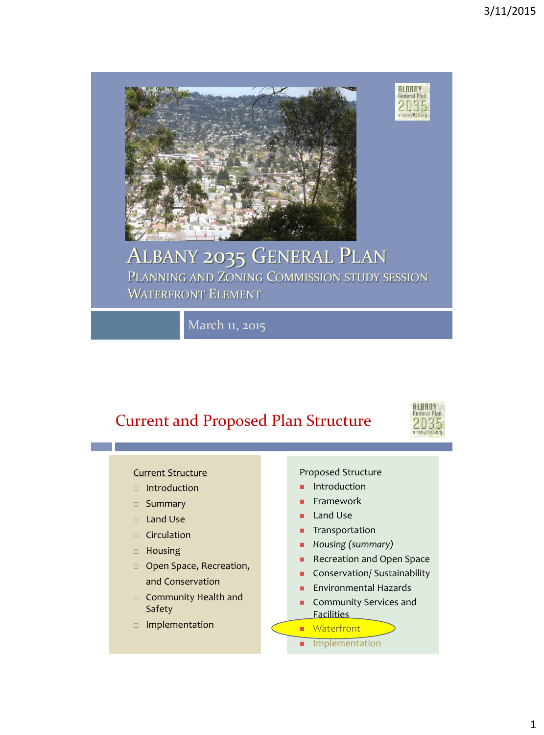

#### ALBANY 2035 GENERAL PLAN PLANNING AND ZONING COMMISSION STUDY SESSION WATERFRONT ELEMENT

March 11, 2015

### Current and Proposed Plan Structure



**ALBANY**<br>General Plan

2035 albany2035.org

#### Current Structure

- $\Box$  Introduction
- □ Summary
- Land Use
- $\Box$  Circulation
- Housing
- **D** Open Space, Recreation, and Conservation
- □ Community Health and Safety
- Implementation

#### Proposed Structure

- Introduction
- Framework
- **Land Use**
- **Transportation**
- *Housing (summary)*
- Recreation and Open Space
- **Conservation/ Sustainability**
- Environmental Hazards
- **Community Services and** Facilities

#### **Naterfront**

**Implementation**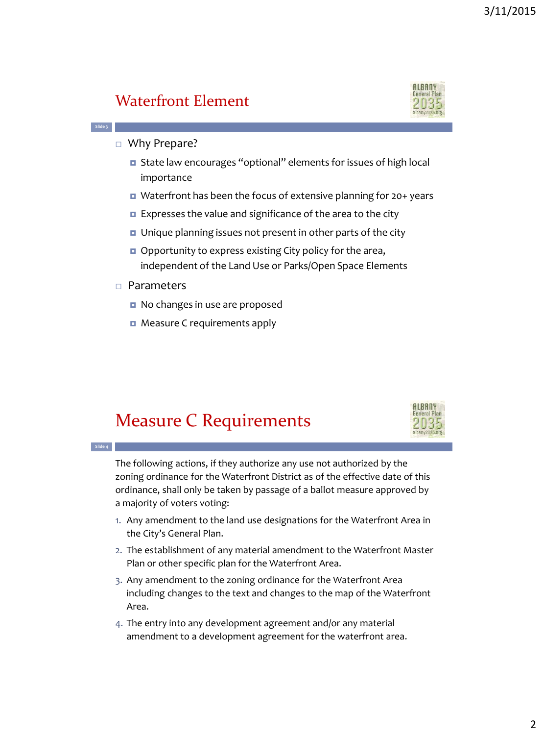#### Waterfront Element



□ Why Prepare?

**Slide 3**

**Slide 4**

- State law encourages "optional" elements for issues of high local importance
- Waterfront has been the focus of extensive planning for 20+ years
- **Expresses the value and significance of the area to the city**
- **u** Unique planning issues not present in other parts of the city
- Opportunity to express existing City policy for the area, independent of the Land Use or Parks/Open Space Elements
- □ Parameters
	- No changes in use are proposed
	- **D** Measure C requirements apply

### Measure C Requirements



The following actions, if they authorize any use not authorized by the zoning ordinance for the Waterfront District as of the effective date of this ordinance, shall only be taken by passage of a ballot measure approved by a majority of voters voting:

- 1. Any amendment to the land use designations for the Waterfront Area in the City's General Plan.
- 2. The establishment of any material amendment to the Waterfront Master Plan or other specific plan for the Waterfront Area.
- 3. Any amendment to the zoning ordinance for the Waterfront Area including changes to the text and changes to the map of the Waterfront Area.
- 4. The entry into any development agreement and/or any material amendment to a development agreement for the waterfront area.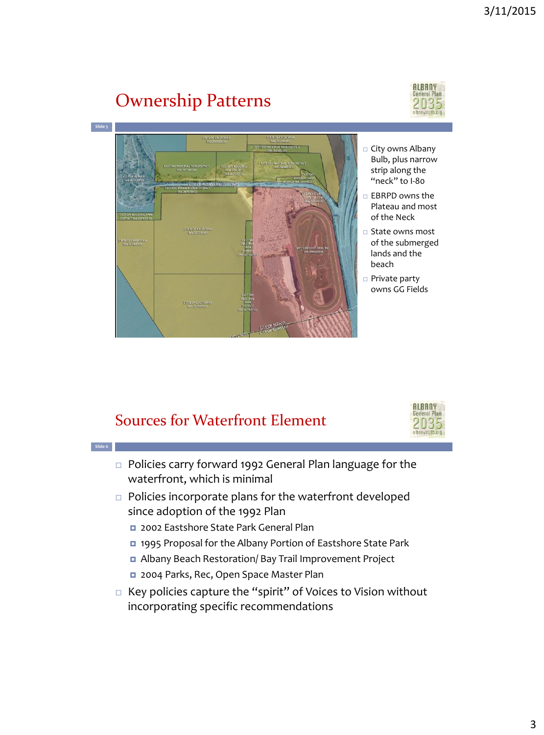## Ownership Patterns

ATE OF CALL TO

**Slide 5**

**MTE OF CALIFORN** 



- □ City owns Albany Bulb, plus narrow strip along the "neck" to I-80
	- □ EBRPD owns the Plateau and most of the Neck
- State owns most of the submerged lands and the beach
- □ Private party owns GG Fields

**ALBANY** 

#### Sources for Waterfront Element

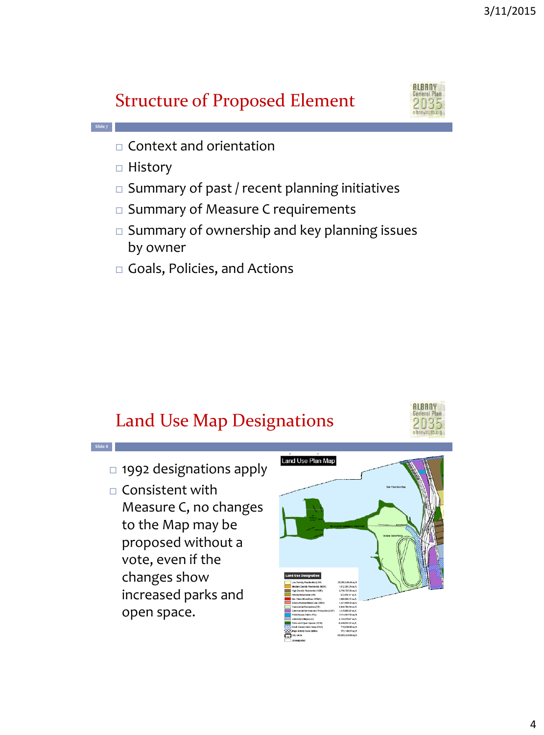## Structure of Proposed Element



- $\Box$  Context and orientation
- $\Box$  History

**Slide 7**

**Slide 8**

- $\square$  Summary of past / recent planning initiatives
- $\square$  Summary of Measure C requirements
- $\square$  Summary of ownership and key planning issues by owner
- □ Goals, Policies, and Actions

## Land Use Map Designations



- □ 1992 designations apply
- $\Box$  Consistent with Measure C, no changes to the Map may be proposed without a vote, even if the changes show increased parks and open space.

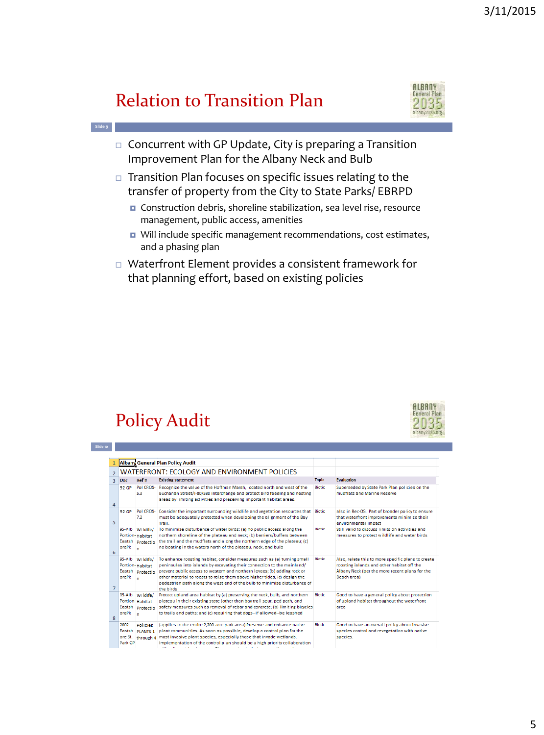## Relation to Transition Plan



- $\Box$  Concurrent with GP Update, City is preparing a Transition Improvement Plan for the Albany Neck and Bulb
- $\Box$  Transition Plan focuses on specific issues relating to the transfer of property from the City to State Parks/ EBRPD
	- Construction debris, shoreline stabilization, sea level rise, resource management, public access, amenities
	- Will include specific management recommendations, cost estimates, and a phasing plan
- Waterfront Element provides a consistent framework for that planning effort, based on existing policies

## Policy Audit

**Slide 9**

**Slide 10**



|                |                                                     |                                                 | <b>Albany General Plan Policy Audit</b>                                                                                                                                                                                                                                                                                                                                                                |               |                                                                                                                                                                   |
|----------------|-----------------------------------------------------|-------------------------------------------------|--------------------------------------------------------------------------------------------------------------------------------------------------------------------------------------------------------------------------------------------------------------------------------------------------------------------------------------------------------------------------------------------------------|---------------|-------------------------------------------------------------------------------------------------------------------------------------------------------------------|
| $\overline{2}$ | <b>WATERFRONT: ECOLOGY AND ENVIRONMENT POLICIES</b> |                                                 |                                                                                                                                                                                                                                                                                                                                                                                                        |               |                                                                                                                                                                   |
| $\overline{3}$ | Doc                                                 | Ref#                                            | <b>Existing statement</b>                                                                                                                                                                                                                                                                                                                                                                              | <b>Topic</b>  | <b>Evaluation</b>                                                                                                                                                 |
| 4              | <b>92 GP</b>                                        | Pol CROS-<br>5.3                                | Recognize the value of the Hoffman Marsh, located north and west of the<br>Buchanan Street/I-80/580 interchange and protect bird feeding and nesting<br>areas by limiting activities and preserving important habitat areas.                                                                                                                                                                           | <b>Biotic</b> | Superseded by State Park Plan policies on the<br>mudflats and Marine Reserve                                                                                      |
| 5              | 92 GP                                               | Pol CROS-<br>7.2                                | Consider the important surrounding wildlife and vegetation resources that<br>must be adequately protected when developing the alignment of the Bay<br>Trail.                                                                                                                                                                                                                                           | <b>Biotic</b> | also in Rec-OS. Part of broader policy to ensure<br>that waterfront improvements minimize their<br>environmental impact                                           |
| 6              | 95-Alb<br>Eastsh<br>orePk                           | Wildife/<br>Portion-Habitat<br>Protectio<br>n   | To minimize disturbance of water birds: (a) no public access along the<br>northern shoreline of the plateau and neck; (b) barriers/buffers between<br>the trail and the mudflats and along the northern edge of the plateau; (c)<br>no boating in the waters north of the plateau, neck, and bulb                                                                                                      | <b>Biotic</b> | Still valid to discuss limits on activities and<br>measures to protect wildlife and water birds                                                                   |
| $\overline{7}$ | 95-Alb<br>Eastsh<br>orePk                           | Wildife/<br>Portion-Habitat<br>Protectio<br>n   | To enhance roosting habitat, consider measures such as (a) turning small<br>peninsulas into islands by excavating their connection to the mainland/<br>prevent public access to western and northern levees; (b) adding rock or<br>other material to roosts to raise them above higher tides; (c) design the<br>pedestrian path along the west end of the bulb to minimize disturbance of<br>the birds | <b>Biotic</b> | Also, relate this to more specific plans to create<br>roosting islands and other habitat off the<br>Albany Neck (per the more recent plans for the<br>Beach area) |
| 8              | 95-Alb<br>Eastsh<br>orePk                           | Wildife/<br>Portion-Habitat<br>Protectio<br>n   | Protect upland area habitat by (a) preserving the neck, bulb, and northern<br>plateau in their existing state (other than bay trail spur, ped path, and<br>safety measures such as removal of rebar and concrete; (b) limiting bicycles<br>to trails and paths; and (c) requiring that dogs--if allowed--be leashed                                                                                    | <b>Biotic</b> | Good to have a general policy about protection<br>of upland habitat throughout the waterfront<br>area                                                             |
|                | 2002<br>Eastsh<br>ore St.<br>Park GP                | <b>Policies</b><br><b>PLANTS 1</b><br>through 4 | (applies to the entire 2,200 acre park area) Preserve and enhance native<br>plant communities. As soon as possible, develop a control plan for the<br>most invasive plant species, especially those that invade wetlands.<br>Implementation of the control plan should be a high priority collaboration<br><b>Service Control</b><br>$\sim$                                                            | <b>Biotic</b> | Good to have an overall policy about invasive<br>species control and revegetation with native<br>species.                                                         |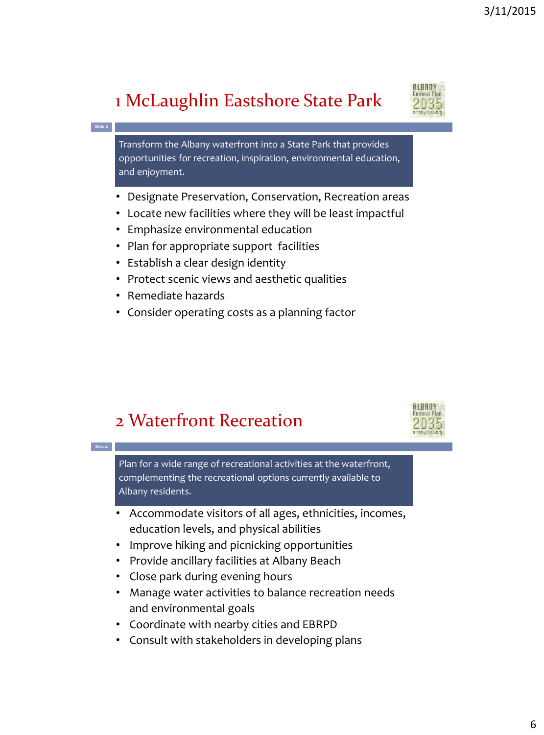# 1 McLaughlin Eastshore State Park

**Slide 11**

**Slide 12**

Transform the Albany waterfront into a State Park that provides opportunities for recreation, inspiration, environmental education, and enjoyment.

- Designate Preservation, Conservation, Recreation areas
- Locate new facilities where they will be least impactful
- Emphasize environmental education
- Plan for appropriate support facilities
- Establish a clear design identity
- Protect scenic views and aesthetic qualities
- Remediate hazards
- Consider operating costs as a planning factor

## 2 Waterfront Recreation

Plan for a wide range of recreational activities at the waterfront, complementing the recreational options currently available to Albany residents.

- Accommodate visitors of all ages, ethnicities, incomes, education levels, and physical abilities
- Improve hiking and picnicking opportunities
- Provide ancillary facilities at Albany Beach
- Close park during evening hours
- Manage water activities to balance recreation needs and environmental goals
- Coordinate with nearby cities and EBRPD
- Consult with stakeholders in developing plans



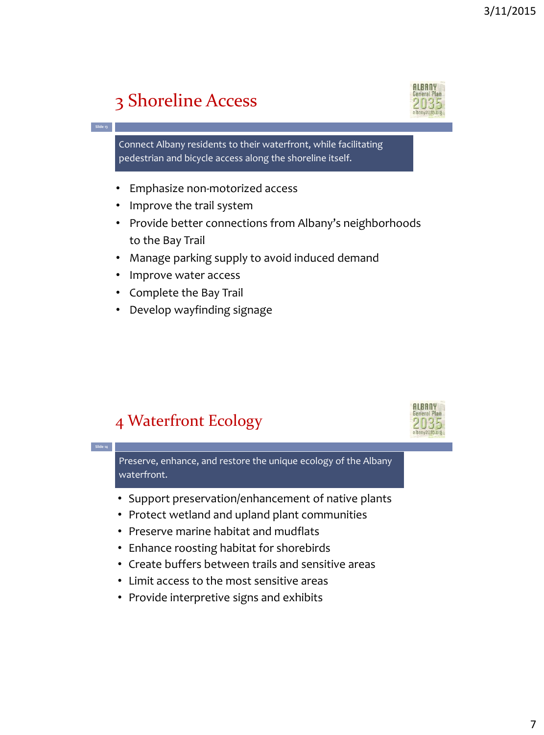## 3 Shoreline Access

**Slide 13**

**Slide 14**



Connect Albany residents to their waterfront, while facilitating pedestrian and bicycle access along the shoreline itself.

- Emphasize non-motorized access
- Improve the trail system
- Provide better connections from Albany's neighborhoods to the Bay Trail
- Manage parking supply to avoid induced demand
- Improve water access
- Complete the Bay Trail
- Develop wayfinding signage

## 4 Waterfront Ecology



Preserve, enhance, and restore the unique ecology of the Albany waterfront.

- Support preservation/enhancement of native plants
- Protect wetland and upland plant communities
- Preserve marine habitat and mudflats
- Enhance roosting habitat for shorebirds
- Create buffers between trails and sensitive areas
- Limit access to the most sensitive areas
- Provide interpretive signs and exhibits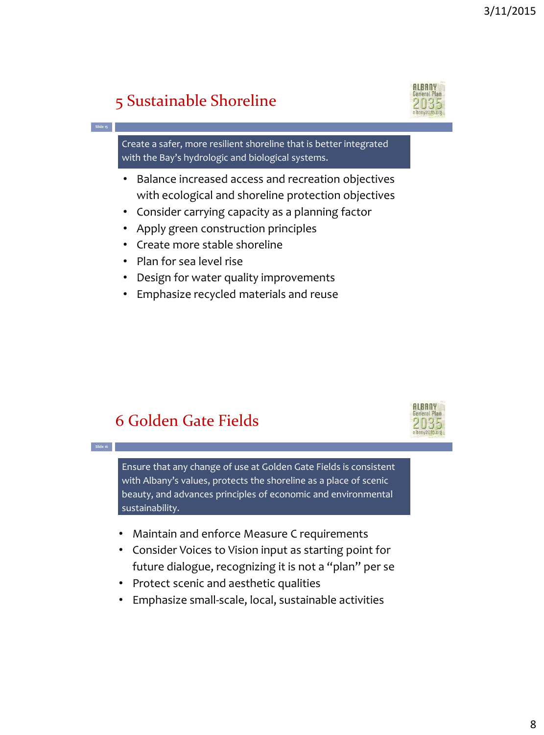## 5 Sustainable Shoreline

**Slide 15**

**Slide 16**



Create a safer, more resilient shoreline that is better integrated with the Bay's hydrologic and biological systems.

- Balance increased access and recreation objectives with ecological and shoreline protection objectives
- Consider carrying capacity as a planning factor
- Apply green construction principles
- Create more stable shoreline
- Plan for sea level rise
- Design for water quality improvements
- Emphasize recycled materials and reuse

### 6 Golden Gate Fields



Ensure that any change of use at Golden Gate Fields is consistent with Albany's values, protects the shoreline as a place of scenic beauty, and advances principles of economic and environmental sustainability.

- Maintain and enforce Measure C requirements
- Consider Voices to Vision input as starting point for future dialogue, recognizing it is not a "plan" per se
- Protect scenic and aesthetic qualities
- Emphasize small-scale, local, sustainable activities